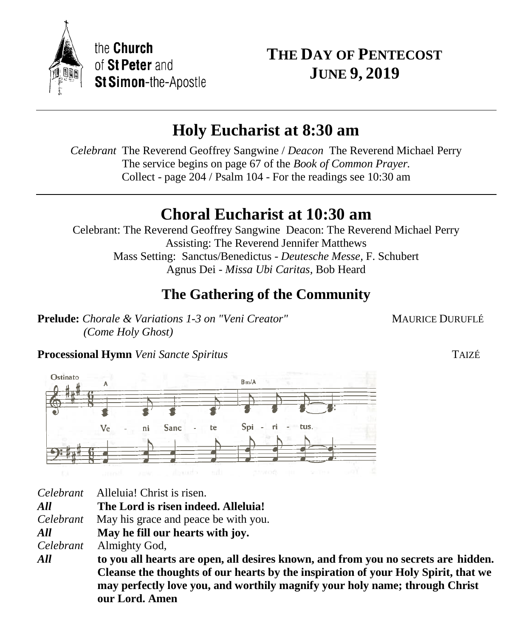

**THE DAY OF PENTECOST JUNE 9, 2019**

# **Holy Eucharist at 8:30 am**

*Celebrant* The Reverend Geoffrey Sangwine / *Deacon* The Reverend Michael Perry The service begins on page 67 of the *Book of Common Prayer.* Collect - page 204 / Psalm 104 - For the readings see 10:30 am

# **Choral Eucharist at 10:30 am**

Celebrant: The Reverend Geoffrey Sangwine Deacon: The Reverend Michael Perry Assisting: The Reverend Jennifer Matthews Mass Setting: Sanctus/Benedictus - *Deutesche Messe,* F. Schubert Agnus Dei *- Missa Ubi Caritas,* Bob Heard

## **The Gathering of the Community**

**Prelude:** *Chorale & Variations* 1-3 *on "Veni Creator"* MAURICE DURUFLÉ  *(Come Holy Ghost)*

**Processional Hymn** *Veni Sancte Spiritus* TAIZÉ



*Celebrant* Alleluia! Christ is risen. *All* **The Lord is risen indeed. Alleluia!** *Celebrant* May his grace and peace be with you. *All* **May he fill our hearts with joy.** *Celebrant* Almighty God, *All* **to you all hearts are open, all desires known, and from you no secrets are hidden. Cleanse the thoughts of our hearts by the inspiration of your Holy Spirit, that we may perfectly love you, and worthily magnify your holy name; through Christ our Lord. Amen**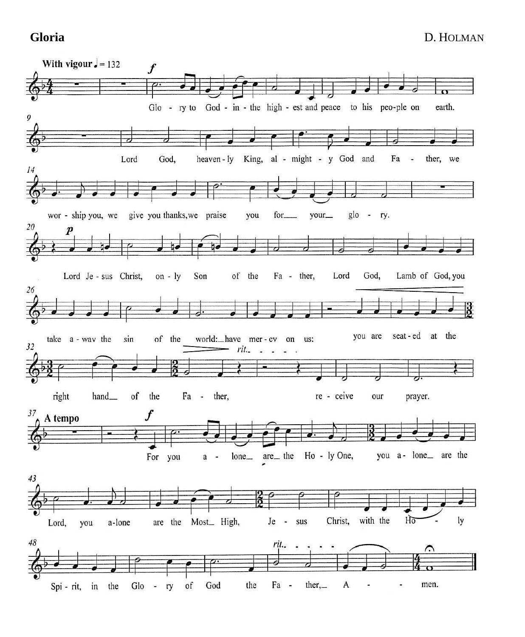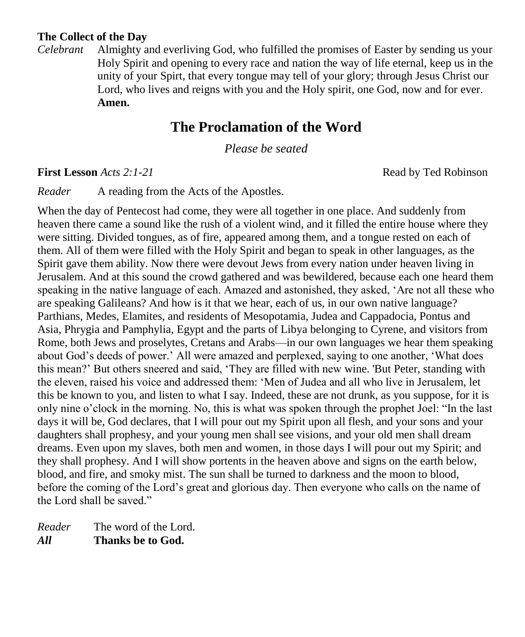## **The Collect of the Day**

*Celebrant* Almighty and everliving God, who fulfilled the promises of Easter by sending us your Holy Spirit and opening to every race and nation the way of life eternal, keep us in the unity of your Spirt, that every tongue may tell of your glory; through Jesus Christ our Lord, who lives and reigns with you and the Holy spirit, one God, now and for ever. **Amen.**

## **The Proclamation of the Word**

*Please be seated*

**First Lesson** *Acts 2:1-21* **Read by Ted Robinson** 

*Reader* A reading from the Acts of the Apostles.

When the day of Pentecost had come, they were all together in one place. And suddenly from heaven there came a sound like the rush of a violent wind, and it filled the entire house where they were sitting. Divided tongues, as of fire, appeared among them, and a tongue rested on each of them. All of them were filled with the Holy Spirit and began to speak in other languages, as the Spirit gave them ability. Now there were devout Jews from every nation under heaven living in Jerusalem. And at this sound the crowd gathered and was bewildered, because each one heard them speaking in the native language of each. Amazed and astonished, they asked, 'Are not all these who are speaking Galileans? And how is it that we hear, each of us, in our own native language? Parthians, Medes, Elamites, and residents of Mesopotamia, Judea and Cappadocia, Pontus and Asia, Phrygia and Pamphylia, Egypt and the parts of Libya belonging to Cyrene, and visitors from Rome, both Jews and proselytes, Cretans and Arabs—in our own languages we hear them speaking about God's deeds of power.' All were amazed and perplexed, saying to one another, 'What does this mean?' But others sneered and said, 'They are filled with new wine. 'But Peter, standing with the eleven, raised his voice and addressed them: 'Men of Judea and all who live in Jerusalem, let this be known to you, and listen to what I say. Indeed, these are not drunk, as you suppose, for it is only nine o'clock in the morning. No, this is what was spoken through the prophet Joel: "In the last days it will be, God declares, that I will pour out my Spirit upon all flesh, and your sons and your daughters shall prophesy, and your young men shall see visions, and your old men shall dream dreams. Even upon my slaves, both men and women, in those days I will pour out my Spirit; and they shall prophesy. And I will show portents in the heaven above and signs on the earth below, blood, and fire, and smoky mist. The sun shall be turned to darkness and the moon to blood, before the coming of the Lord's great and glorious day. Then everyone who calls on the name of the Lord shall be saved."

*Reader* The word of the Lord. *All* **Thanks be to God.**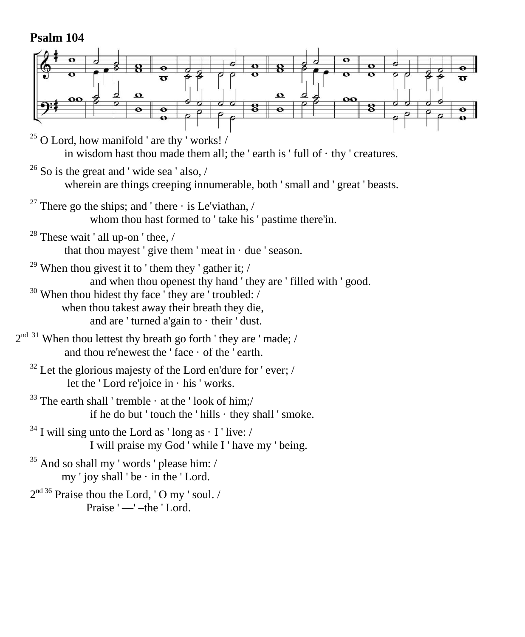## **Psalm 104**



whom thou hast formed to ' take his ' pastime there'in.

 $28$  These wait ' all up-on ' thee, /

that thou may est ' give them ' meat in  $\cdot$  due ' season.

- <sup>29</sup> When thou givest it to 'them they ' gather it; / and when thou openest thy hand ' they are ' filled with ' good.
- $30$  When thou hidest thy face 'they are 'troubled: / when thou takest away their breath they die, and are ' turned a'gain to · their ' dust.
- $2^{nd}$  <sup>31</sup> When thou lettest thy breath go forth ' they are ' made; / and thou re'newest the ' $face \cdot of the 'earth.$ 
	- $32$  Let the glorious majesty of the Lord en'dure for ' ever; / let the ' Lord re'joice in · his ' works.
	- $33$  The earth shall ' tremble  $\cdot$  at the ' look of him;/ if he do but ' touch the ' hills · they shall ' smoke.
	- $34$  I will sing unto the Lord as 'long as  $\cdot$  I 'live: / I will praise my God ' while I ' have my ' being.

<sup>35</sup> And so shall my ' words ' please him: / my ' joy shall ' be  $\cdot$  in the ' Lord.

 $2^{nd 36}$  Praise thou the Lord, 'O my ' soul. / Praise '—' –the 'Lord.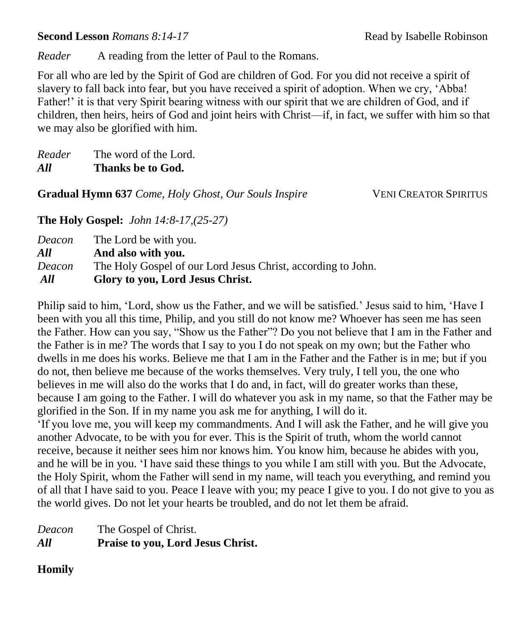**Second Lesson** *Romans 8:14-17* Read by Isabelle Robinson

*Reader* A reading from the letter of Paul to the Romans.

For all who are led by the Spirit of God are children of God. For you did not receive a spirit of slavery to fall back into fear, but you have received a spirit of adoption. When we cry, 'Abba! Father!' it is that very Spirit bearing witness with our spirit that we are children of God, and if children, then heirs, heirs of God and joint heirs with Christ—if, in fact, we suffer with him so that we may also be glorified with him.

*Reader* The word of the Lord. *All* **Thanks be to God.**

**Gradual Hymn 637** *Come, Holy Ghost, Our Souls Inspire* VENI CREATOR SPIRITUS

**The Holy Gospel:** *John 14:8-17,(25-27)*

| Deacon | The Lord be with you.                                        |
|--------|--------------------------------------------------------------|
| All    | And also with you.                                           |
| Deacon | The Holy Gospel of our Lord Jesus Christ, according to John. |
| All    | Glory to you, Lord Jesus Christ.                             |

Philip said to him, 'Lord, show us the Father, and we will be satisfied.' Jesus said to him, 'Have I been with you all this time, Philip, and you still do not know me? Whoever has seen me has seen the Father. How can you say, "Show us the Father"? Do you not believe that I am in the Father and the Father is in me? The words that I say to you I do not speak on my own; but the Father who dwells in me does his works. Believe me that I am in the Father and the Father is in me; but if you do not, then believe me because of the works themselves. Very truly, I tell you, the one who believes in me will also do the works that I do and, in fact, will do greater works than these, because I am going to the Father. I will do whatever you ask in my name, so that the Father may be glorified in the Son. If in my name you ask me for anything, I will do it. 'If you love me, you will keep my commandments. And I will ask the Father, and he will give you another Advocate, to be with you for ever. This is the Spirit of truth, whom the world cannot

receive, because it neither sees him nor knows him. You know him, because he abides with you, and he will be in you. 'I have said these things to you while I am still with you. But the Advocate, the Holy Spirit, whom the Father will send in my name, will teach you everything, and remind you of all that I have said to you. Peace I leave with you; my peace I give to you. I do not give to you as the world gives. Do not let your hearts be troubled, and do not let them be afraid.

*Deacon* The Gospel of Christ. *All* **Praise to you, Lord Jesus Christ.**

## **Homily**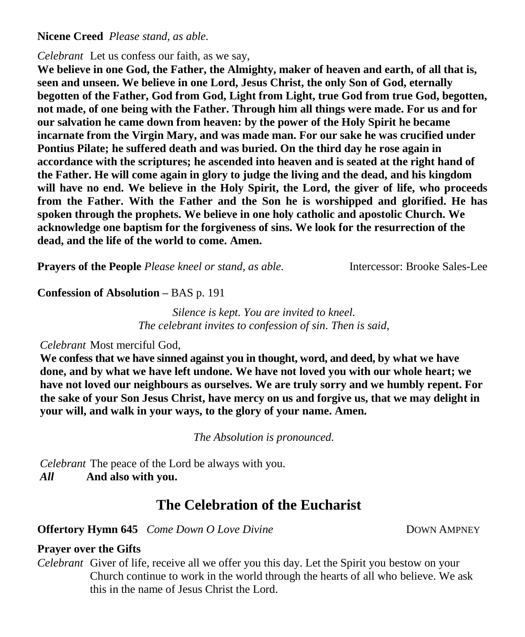**Nicene Creed** *Please stand, as able.*

*Celebrant* Let us confess our faith, as we say,

**We believe in one God, the Father, the Almighty, maker of heaven and earth, of all that is, seen and unseen. We believe in one Lord, Jesus Christ, the only Son of God, eternally begotten of the Father, God from God, Light from Light, true God from true God, begotten, not made, of one being with the Father. Through him all things were made. For us and for our salvation he came down from heaven: by the power of the Holy Spirit he became incarnate from the Virgin Mary, and was made man. For our sake he was crucified under Pontius Pilate; he suffered death and was buried. On the third day he rose again in accordance with the scriptures; he ascended into heaven and is seated at the right hand of the Father. He will come again in glory to judge the living and the dead, and his kingdom will have no end. We believe in the Holy Spirit, the Lord, the giver of life, who proceeds from the Father. With the Father and the Son he is worshipped and glorified. He has spoken through the prophets. We believe in one holy catholic and apostolic Church. We acknowledge one baptism for the forgiveness of sins. We look for the resurrection of the dead, and the life of the world to come. Amen.**

**Prayers of the People** *Please kneel or stand, as able.* Intercessor: Brooke Sales-Lee

**Confession of Absolution –** BAS p. 191

*Silence is kept. You are invited to kneel. The celebrant invites to confession of sin. Then is said,*

## *Celebrant* Most merciful God,

**We confess that we have sinned against you in thought, word, and deed, by what we have done, and by what we have left undone. We have not loved you with our whole heart; we have not loved our neighbours as ourselves. We are truly sorry and we humbly repent. For the sake of your Son Jesus Christ, have mercy on us and forgive us, that we may delight in your will, and walk in your ways, to the glory of your name. Amen.**

*The Absolution is pronounced.*

*Celebrant* The peace of the Lord be always with you. *All* **And also with you.**

# **The Celebration of the Eucharist**

**Offertory Hymn 645** *Come Down O Love Divine* **Dividend CONNAMPNEY** 

## **Prayer over the Gifts**

*Celebrant* Giver of life, receive all we offer you this day. Let the Spirit you bestow on your Church continue to work in the world through the hearts of all who believe. We ask this in the name of Jesus Christ the Lord.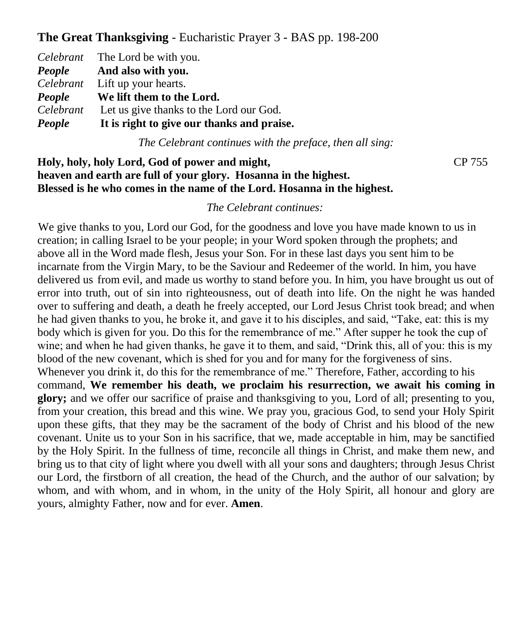## **The Great Thanksgiving** - Eucharistic Prayer 3 - BAS pp. 198-200

|           | <i>Celebrant</i> The Lord be with you.     |
|-----------|--------------------------------------------|
| People    | And also with you.                         |
| Celebrant | Lift up your hearts.                       |
| People    | We lift them to the Lord.                  |
| Celebrant | Let us give thanks to the Lord our God.    |
| People    | It is right to give our thanks and praise. |

*The Celebrant continues with the preface, then all sing:*

## **Holy, holy, holy Lord, God of power and might,** CP 755 **heaven and earth are full of your glory. Hosanna in the highest. Blessed is he who comes in the name of the Lord. Hosanna in the highest.**

#### *The Celebrant continues:*

We give thanks to you, Lord our God, for the goodness and love you have made known to us in creation; in calling Israel to be your people; in your Word spoken through the prophets; and above all in the Word made flesh, Jesus your Son. For in these last days you sent him to be incarnate from the Virgin Mary, to be the Saviour and Redeemer of the world. In him, you have delivered us from evil, and made us worthy to stand before you. In him, you have brought us out of error into truth, out of sin into righteousness, out of death into life. On the night he was handed over to suffering and death, a death he freely accepted, our Lord Jesus Christ took bread; and when he had given thanks to you, he broke it, and gave it to his disciples, and said, "Take, eat: this is my body which is given for you. Do this for the remembrance of me." After supper he took the cup of wine; and when he had given thanks, he gave it to them, and said, "Drink this, all of you: this is my blood of the new covenant, which is shed for you and for many for the forgiveness of sins. Whenever you drink it, do this for the remembrance of me." Therefore, Father, according to his command, **We remember his death, we proclaim his resurrection, we await his coming in glory;** and we offer our sacrifice of praise and thanksgiving to you, Lord of all; presenting to you, from your creation, this bread and this wine. We pray you, gracious God, to send your Holy Spirit upon these gifts, that they may be the sacrament of the body of Christ and his blood of the new covenant. Unite us to your Son in his sacrifice, that we, made acceptable in him, may be sanctified by the Holy Spirit. In the fullness of time, reconcile all things in Christ, and make them new, and bring us to that city of light where you dwell with all your sons and daughters; through Jesus Christ our Lord, the firstborn of all creation, the head of the Church, and the author of our salvation; by whom, and with whom, and in whom, in the unity of the Holy Spirit, all honour and glory are yours, almighty Father, now and for ever. **Amen**.